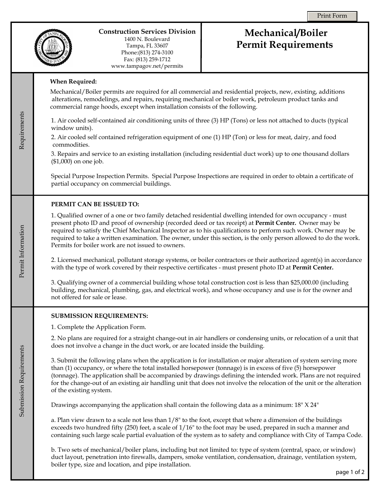

Requirements

Requirements

Permit Information

Permit Information

Submission Requirements

Submission Requirements

## **Construction Services Division**

1400 N. Boulevard Tampa, FL 33607 Phone:(813) 274-3100 Fax: (813) 259-1712 www.tampagov.net/permits

# **Mechanical/Boiler Permit Requirements**

## **When Required:**

Mechanical/Boiler permits are required for all commercial and residential projects, new, existing, additions alterations, remodelings, and repairs, requiring mechanical or boiler work, petroleum product tanks and commercial range hoods, except when installation consists of the following.

1. Air cooled self-contained air conditioning units of three (3) HP (Tons) or less not attached to ducts (typical window units).

2. Air cooled self contained refrigeration equipment of one (1) HP (Ton) or less for meat, dairy, and food commodities.

3. Repairs and service to an existing installation (including residential duct work) up to one thousand dollars (\$1,000) on one job.

Special Purpose Inspection Permits. Special Purpose Inspections are required in order to obtain a certificate of partial occupancy on commercial buildings.

## **PERMIT CAN BE ISSUED TO:**

1. Qualified owner of a one or two family detached residential dwelling intended for own occupancy - must present photo ID and proof of ownership (recorded deed or tax receipt) at **Permit Center.** Owner may be required to satisfy the Chief Mechanical Inspector as to his qualifications to perform such work. Owner may be required to take a written examination. The owner, under this section, is the only person allowed to do the work. Permits for boiler work are not issued to owners.

2. Licensed mechanical, pollutant storage systems, or boiler contractors or their authorized agent(s) in accordance with the type of work covered by their respective certificates - must present photo ID at **Permit Center.**

3. Qualifying owner of a commercial building whose total construction cost is less than \$25,000.00 (including building, mechanical, plumbing, gas, and electrical work), and whose occupancy and use is for the owner and not offered for sale or lease.

#### **SUBMISSION REQUIREMENTS:**

1. Complete the Application Form.

2. No plans are required for a straight change-out in air handlers or condensing units, or relocation of a unit that does not involve a change in the duct work, or are located inside the building.

3. Submit the following plans when the application is for installation or major alteration of system serving more than (1) occupancy, or where the total installed horsepower (tonnage) is in excess of five (5) horsepower (tonnage). The application shall be accompanied by drawings defining the intended work. Plans are not required for the change-out of an existing air handling unit that does not involve the relocation of the unit or the alteration of the existing system.

Drawings accompanying the application shall contain the following data as a minimum: 18" X 24"

a. Plan view drawn to a scale not less than 1/8" to the foot, except that where a dimension of the buildings exceeds two hundred fifty (250) feet, a scale of 1/16" to the foot may be used, prepared in such a manner and containing such large scale partial evaluation of the system as to safety and compliance with City of Tampa Code.

b. Two sets of mechanical/boiler plans, including but not limited to: type of system (central, space, or window) duct layout, penetration into firewalls, dampers, smoke ventilation, condensation, drainage, ventilation system, boiler type, size and location, and pipe installation.